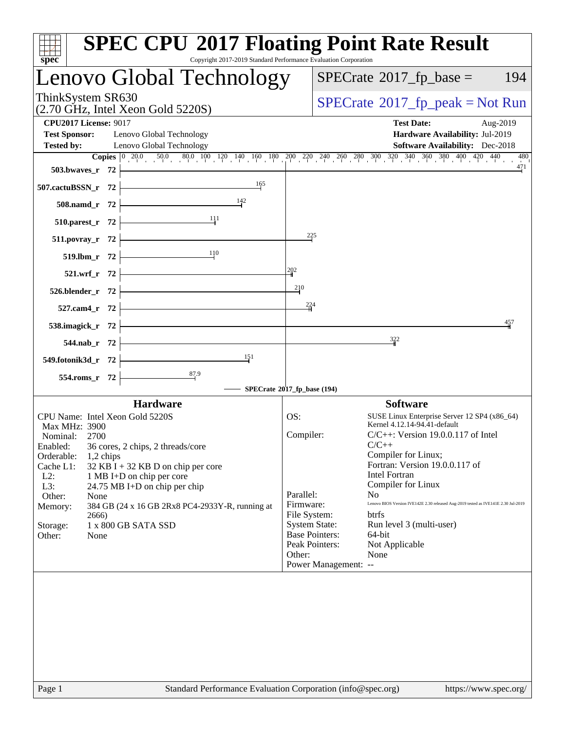| spec <sup>®</sup>                                                                                                                                                                                                                                                                                                                                                                                                                                    | <b>SPEC CPU®2017 Floating Point Rate Result</b><br>Copyright 2017-2019 Standard Performance Evaluation Corporation                                                                                                                                                                                                                                                                                                                                                                                                                                                                                      |
|------------------------------------------------------------------------------------------------------------------------------------------------------------------------------------------------------------------------------------------------------------------------------------------------------------------------------------------------------------------------------------------------------------------------------------------------------|---------------------------------------------------------------------------------------------------------------------------------------------------------------------------------------------------------------------------------------------------------------------------------------------------------------------------------------------------------------------------------------------------------------------------------------------------------------------------------------------------------------------------------------------------------------------------------------------------------|
| Lenovo Global Technology                                                                                                                                                                                                                                                                                                                                                                                                                             | $SPECrate^{\circ}2017$ _fp_base =<br>194                                                                                                                                                                                                                                                                                                                                                                                                                                                                                                                                                                |
| ThinkSystem SR630<br>(2.70 GHz, Intel Xeon Gold 5220S)                                                                                                                                                                                                                                                                                                                                                                                               | $SPECrate^{\circ}2017rfp peak = Not Run$                                                                                                                                                                                                                                                                                                                                                                                                                                                                                                                                                                |
| <b>CPU2017 License: 9017</b><br><b>Test Sponsor:</b><br>Lenovo Global Technology<br>Lenovo Global Technology<br><b>Tested by:</b>                                                                                                                                                                                                                                                                                                                    | <b>Test Date:</b><br>Aug-2019<br>Hardware Availability: Jul-2019<br><b>Software Availability:</b> Dec-2018                                                                                                                                                                                                                                                                                                                                                                                                                                                                                              |
| 503.bwaves_r 72<br>165<br>507.cactuBSSN_r 72<br>$\frac{142}{2}$<br>508.namd_r 72<br>111<br>510.parest_r 72<br>511.povray_r 72<br>110<br>519.lbm_r 72<br>521.wrf_r 72<br>526.blender_r 72<br>527.cam4_r 72<br>538.imagick_r 72<br>544.nab_r 72                                                                                                                                                                                                        | <b>Copies</b> $\begin{bmatrix} 0 & 20.0 & 50.0 & 80.0 & 100 & 120 & 140 & 160 & 180 & 200 & 220 & 240 & 260 & 300 & 320 & 340 & 360 & 380 & 400 & 420 & 440 \end{bmatrix}$<br>480<br>471<br>225<br>202<br>210<br>224<br>457<br>$\frac{322}{4}$                                                                                                                                                                                                                                                                                                                                                          |
| 151<br>549.fotonik3d_r 72<br>554.roms_r 72                                                                                                                                                                                                                                                                                                                                                                                                           | SPECrate®2017_fp_base (194)                                                                                                                                                                                                                                                                                                                                                                                                                                                                                                                                                                             |
| <b>Hardware</b><br>CPU Name: Intel Xeon Gold 5220S<br>Max MHz: 3900<br>Nominal: 2700<br>36 cores, 2 chips, 2 threads/core<br>Enabled:<br>Orderable:<br>$1,2$ chips<br>Cache L1:<br>$32$ KB I + 32 KB D on chip per core<br>$L2$ :<br>1 MB I+D on chip per core<br>L3:<br>24.75 MB I+D on chip per chip<br>Other:<br>None<br>Memory:<br>384 GB (24 x 16 GB 2Rx8 PC4-2933Y-R, running at<br>2666)<br>1 x 800 GB SATA SSD<br>Storage:<br>Other:<br>None | <b>Software</b><br>OS:<br>SUSE Linux Enterprise Server 12 SP4 (x86_64)<br>Kernel 4.12.14-94.41-default<br>Compiler:<br>$C/C++$ : Version 19.0.0.117 of Intel<br>$C/C++$<br>Compiler for Linux;<br>Fortran: Version 19.0.0.117 of<br>Intel Fortran<br>Compiler for Linux<br>Parallel:<br>N <sub>0</sub><br>Lenovo BIOS Version IVE142E 2.30 released Aug-2019 tested as IVE141E 2.30 Jul-2019<br>Firmware:<br>File System:<br>btrfs<br><b>System State:</b><br>Run level 3 (multi-user)<br><b>Base Pointers:</b><br>64-bit<br>Peak Pointers:<br>Not Applicable<br>Other:<br>None<br>Power Management: -- |
| Page 1                                                                                                                                                                                                                                                                                                                                                                                                                                               | Standard Performance Evaluation Corporation (info@spec.org)<br>https://www.spec.org/                                                                                                                                                                                                                                                                                                                                                                                                                                                                                                                    |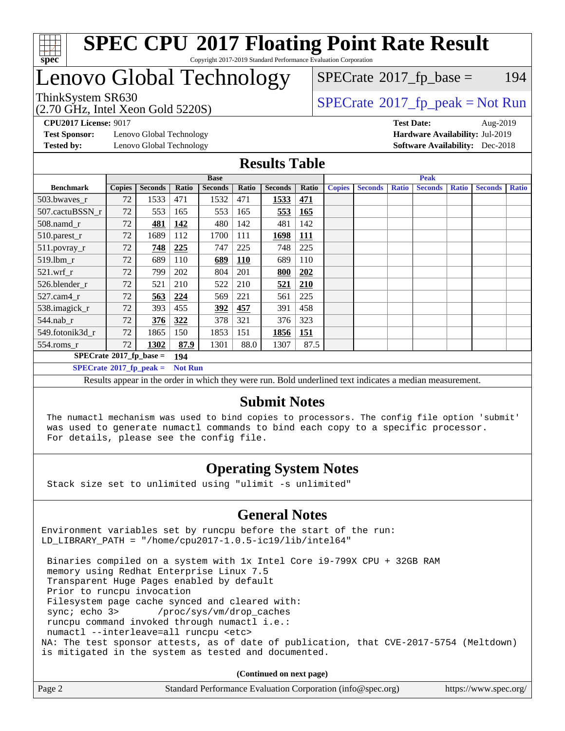

#### **[SPEC CPU](http://www.spec.org/auto/cpu2017/Docs/result-fields.html#SPECCPU2017FloatingPointRateResult)[2017 Floating Point Rate Result](http://www.spec.org/auto/cpu2017/Docs/result-fields.html#SPECCPU2017FloatingPointRateResult)** Copyright 2017-2019 Standard Performance Evaluation Corporation

# Lenovo Global Technology

 $SPECTate$ <sup>®</sup>[2017\\_fp\\_base =](http://www.spec.org/auto/cpu2017/Docs/result-fields.html#SPECrate2017fpbase) 194

(2.70 GHz, Intel Xeon Gold 5220S)

 $SPECTate@2017_fp\_peak = Not Run$ 

**[Test Sponsor:](http://www.spec.org/auto/cpu2017/Docs/result-fields.html#TestSponsor)** Lenovo Global Technology **[Hardware Availability:](http://www.spec.org/auto/cpu2017/Docs/result-fields.html#HardwareAvailability)** Jul-2019 **[Tested by:](http://www.spec.org/auto/cpu2017/Docs/result-fields.html#Testedby)** Lenovo Global Technology **[Software Availability:](http://www.spec.org/auto/cpu2017/Docs/result-fields.html#SoftwareAvailability)** Dec-2018

**[CPU2017 License:](http://www.spec.org/auto/cpu2017/Docs/result-fields.html#CPU2017License)** 9017 **[Test Date:](http://www.spec.org/auto/cpu2017/Docs/result-fields.html#TestDate)** Aug-2019

#### **[Results Table](http://www.spec.org/auto/cpu2017/Docs/result-fields.html#ResultsTable)**

|                                               | <b>Base</b>   |                |                |                |            | <b>Peak</b>    |            |               |                |              |                |              |                |              |
|-----------------------------------------------|---------------|----------------|----------------|----------------|------------|----------------|------------|---------------|----------------|--------------|----------------|--------------|----------------|--------------|
| <b>Benchmark</b>                              | <b>Copies</b> | <b>Seconds</b> | Ratio          | <b>Seconds</b> | Ratio      | <b>Seconds</b> | Ratio      | <b>Copies</b> | <b>Seconds</b> | <b>Ratio</b> | <b>Seconds</b> | <b>Ratio</b> | <b>Seconds</b> | <b>Ratio</b> |
| 503.bwayes_r                                  | 72            | 1533           | 471            | 1532           | 471        | 1533           | 471        |               |                |              |                |              |                |              |
| 507.cactuBSSN r                               | 72            | 553            | 165            | 553            | 165        | 553            | <b>165</b> |               |                |              |                |              |                |              |
| $508$ .namd $r$                               | 72            | 481            | 142            | 480            | 142        | 481            | 142        |               |                |              |                |              |                |              |
| 510.parest_r                                  | 72            | 1689           | 112            | 1700           | 111        | 1698           | <b>111</b> |               |                |              |                |              |                |              |
| 511.povray_r                                  | 72            | 748            | 225            | 747            | 225        | 748            | 225        |               |                |              |                |              |                |              |
| 519.lbm r                                     | 72            | 689            | 110            | 689            | <b>110</b> | 689            | 110        |               |                |              |                |              |                |              |
| $521.wrf$ r                                   | 72            | 799            | 202            | 804            | 201        | 800            | 202        |               |                |              |                |              |                |              |
| 526.blender r                                 | 72            | 521            | 210            | 522            | 210        | <u>521</u>     | 210        |               |                |              |                |              |                |              |
| $527$ .cam $4r$                               | 72            | 563            | 224            | 569            | 221        | 561            | 225        |               |                |              |                |              |                |              |
| 538.imagick_r                                 | 72            | 393            | 455            | 392            | 457        | 391            | 458        |               |                |              |                |              |                |              |
| $544$ .nab_r                                  | 72            | 376            | 322            | 378            | 321        | 376            | 323        |               |                |              |                |              |                |              |
| 549.fotonik3d r                               | 72            | 1865           | 150            | 1853           | 151        | 1856           | 151        |               |                |              |                |              |                |              |
| $554$ .roms $_r$                              | 72            | 1302           | 87.9           | 1301           | 88.0       | 1307           | 87.5       |               |                |              |                |              |                |              |
| $SPECrate$ <sup>®</sup> 2017_fp_base =<br>194 |               |                |                |                |            |                |            |               |                |              |                |              |                |              |
| $SPECrate^{\circ}2017$ fp peak =              |               |                | <b>Not Run</b> |                |            |                |            |               |                |              |                |              |                |              |

Results appear in the [order in which they were run.](http://www.spec.org/auto/cpu2017/Docs/result-fields.html#RunOrder) Bold underlined text [indicates a median measurement.](http://www.spec.org/auto/cpu2017/Docs/result-fields.html#Median)

#### **[Submit Notes](http://www.spec.org/auto/cpu2017/Docs/result-fields.html#SubmitNotes)**

 The numactl mechanism was used to bind copies to processors. The config file option 'submit' was used to generate numactl commands to bind each copy to a specific processor. For details, please see the config file.

### **[Operating System Notes](http://www.spec.org/auto/cpu2017/Docs/result-fields.html#OperatingSystemNotes)**

Stack size set to unlimited using "ulimit -s unlimited"

### **[General Notes](http://www.spec.org/auto/cpu2017/Docs/result-fields.html#GeneralNotes)**

Environment variables set by runcpu before the start of the run: LD\_LIBRARY\_PATH = "/home/cpu2017-1.0.5-ic19/lib/intel64"

 Binaries compiled on a system with 1x Intel Core i9-799X CPU + 32GB RAM memory using Redhat Enterprise Linux 7.5 Transparent Huge Pages enabled by default Prior to runcpu invocation Filesystem page cache synced and cleared with: sync; echo 3> /proc/sys/vm/drop\_caches runcpu command invoked through numactl i.e.: numactl --interleave=all runcpu <etc> NA: The test sponsor attests, as of date of publication, that CVE-2017-5754 (Meltdown) is mitigated in the system as tested and documented.

**(Continued on next page)**

| Page 2 | Standard Performance Evaluation Corporation (info@spec.org) | https://www.spec.org/ |
|--------|-------------------------------------------------------------|-----------------------|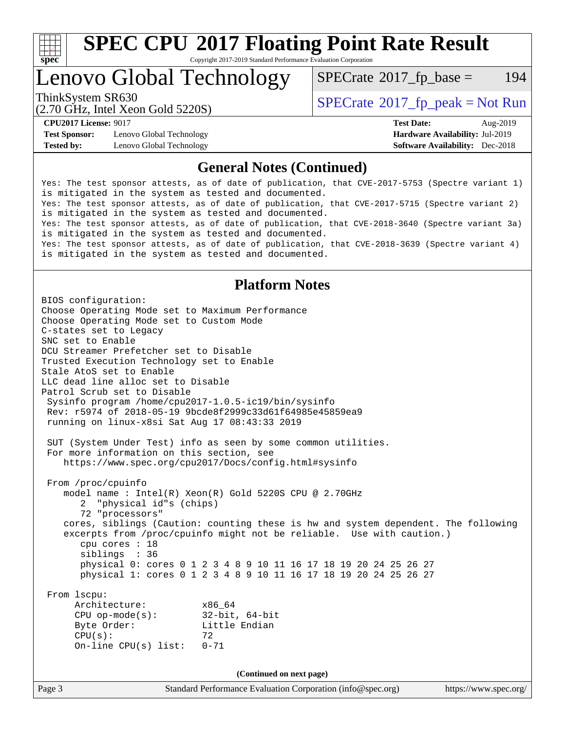

# **[SPEC CPU](http://www.spec.org/auto/cpu2017/Docs/result-fields.html#SPECCPU2017FloatingPointRateResult)[2017 Floating Point Rate Result](http://www.spec.org/auto/cpu2017/Docs/result-fields.html#SPECCPU2017FloatingPointRateResult)**

Copyright 2017-2019 Standard Performance Evaluation Corporation

## Lenovo Global Technology

 $SPECTate$ <sup>®</sup>[2017\\_fp\\_base =](http://www.spec.org/auto/cpu2017/Docs/result-fields.html#SPECrate2017fpbase) 194

(2.70 GHz, Intel Xeon Gold 5220S)

ThinkSystem SR630<br>  $SPECrate^{\circ}2017$  $SPECrate^{\circ}2017$  fp\_peak = Not Run

**[Test Sponsor:](http://www.spec.org/auto/cpu2017/Docs/result-fields.html#TestSponsor)** Lenovo Global Technology **[Hardware Availability:](http://www.spec.org/auto/cpu2017/Docs/result-fields.html#HardwareAvailability)** Jul-2019 **[Tested by:](http://www.spec.org/auto/cpu2017/Docs/result-fields.html#Testedby)** Lenovo Global Technology **[Software Availability:](http://www.spec.org/auto/cpu2017/Docs/result-fields.html#SoftwareAvailability)** Dec-2018

**[CPU2017 License:](http://www.spec.org/auto/cpu2017/Docs/result-fields.html#CPU2017License)** 9017 **[Test Date:](http://www.spec.org/auto/cpu2017/Docs/result-fields.html#TestDate)** Aug-2019

#### **[General Notes \(Continued\)](http://www.spec.org/auto/cpu2017/Docs/result-fields.html#GeneralNotes)**

Yes: The test sponsor attests, as of date of publication, that CVE-2017-5753 (Spectre variant 1) is mitigated in the system as tested and documented. Yes: The test sponsor attests, as of date of publication, that CVE-2017-5715 (Spectre variant 2) is mitigated in the system as tested and documented. Yes: The test sponsor attests, as of date of publication, that CVE-2018-3640 (Spectre variant 3a) is mitigated in the system as tested and documented. Yes: The test sponsor attests, as of date of publication, that CVE-2018-3639 (Spectre variant 4) is mitigated in the system as tested and documented.

#### **[Platform Notes](http://www.spec.org/auto/cpu2017/Docs/result-fields.html#PlatformNotes)**

Page 3 Standard Performance Evaluation Corporation [\(info@spec.org\)](mailto:info@spec.org) <https://www.spec.org/> BIOS configuration: Choose Operating Mode set to Maximum Performance Choose Operating Mode set to Custom Mode C-states set to Legacy SNC set to Enable DCU Streamer Prefetcher set to Disable Trusted Execution Technology set to Enable Stale AtoS set to Enable LLC dead line alloc set to Disable Patrol Scrub set to Disable Sysinfo program /home/cpu2017-1.0.5-ic19/bin/sysinfo Rev: r5974 of 2018-05-19 9bcde8f2999c33d61f64985e45859ea9 running on linux-x8si Sat Aug 17 08:43:33 2019 SUT (System Under Test) info as seen by some common utilities. For more information on this section, see <https://www.spec.org/cpu2017/Docs/config.html#sysinfo> From /proc/cpuinfo model name : Intel(R) Xeon(R) Gold 5220S CPU @ 2.70GHz 2 "physical id"s (chips) 72 "processors" cores, siblings (Caution: counting these is hw and system dependent. The following excerpts from /proc/cpuinfo might not be reliable. Use with caution.) cpu cores : 18 siblings : 36 physical 0: cores 0 1 2 3 4 8 9 10 11 16 17 18 19 20 24 25 26 27 physical 1: cores 0 1 2 3 4 8 9 10 11 16 17 18 19 20 24 25 26 27 From lscpu: Architecture: x86\_64 CPU op-mode(s): 32-bit, 64-bit Byte Order: Little Endian  $CPU(s):$  72 On-line CPU(s) list: 0-71 **(Continued on next page)**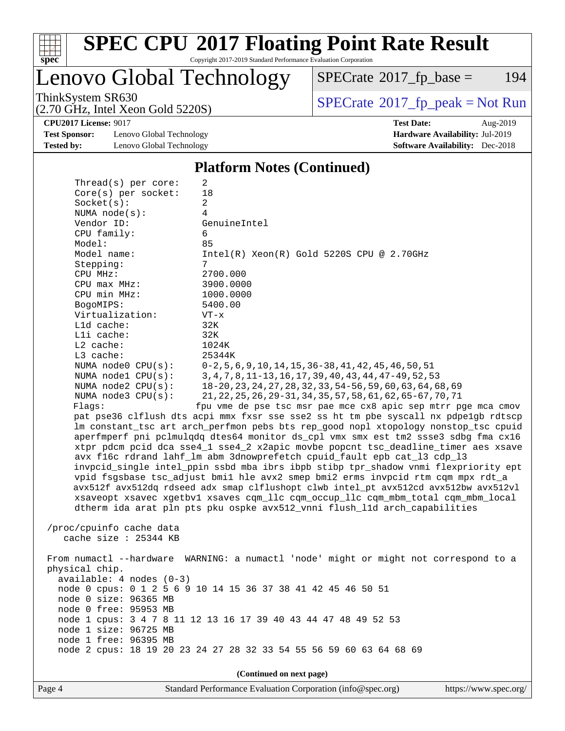

# **[SPEC CPU](http://www.spec.org/auto/cpu2017/Docs/result-fields.html#SPECCPU2017FloatingPointRateResult)[2017 Floating Point Rate Result](http://www.spec.org/auto/cpu2017/Docs/result-fields.html#SPECCPU2017FloatingPointRateResult)**

Copyright 2017-2019 Standard Performance Evaluation Corporation

Lenovo Global Technology

 $SPECTate@2017_fp\_base = 194$ 

(2.70 GHz, Intel Xeon Gold 5220S)

ThinkSystem SR630<br>  $(2.70 \text{ GHz})$  Intel Xeon Gold 5220S)

**[CPU2017 License:](http://www.spec.org/auto/cpu2017/Docs/result-fields.html#CPU2017License)** 9017 **[Test Date:](http://www.spec.org/auto/cpu2017/Docs/result-fields.html#TestDate)** Aug-2019

**[Test Sponsor:](http://www.spec.org/auto/cpu2017/Docs/result-fields.html#TestSponsor)** Lenovo Global Technology **[Hardware Availability:](http://www.spec.org/auto/cpu2017/Docs/result-fields.html#HardwareAvailability)** Jul-2019 **[Tested by:](http://www.spec.org/auto/cpu2017/Docs/result-fields.html#Testedby)** Lenovo Global Technology **[Software Availability:](http://www.spec.org/auto/cpu2017/Docs/result-fields.html#SoftwareAvailability)** Dec-2018

**[Platform Notes \(Continued\)](http://www.spec.org/auto/cpu2017/Docs/result-fields.html#PlatformNotes)**

| Thread(s) per core:                                                                 | 2                                                                                    |  |  |  |  |
|-------------------------------------------------------------------------------------|--------------------------------------------------------------------------------------|--|--|--|--|
| Core(s) per socket:                                                                 | 18                                                                                   |  |  |  |  |
| Socket(s):                                                                          | 2                                                                                    |  |  |  |  |
| NUMA $node(s):$                                                                     | 4                                                                                    |  |  |  |  |
| Vendor ID:                                                                          | GenuineIntel                                                                         |  |  |  |  |
| CPU family:                                                                         | 6                                                                                    |  |  |  |  |
| Model:                                                                              | 85                                                                                   |  |  |  |  |
| Model name:                                                                         | $Intel(R) Xeon(R) Gold 5220S CPU @ 2.70GHz$                                          |  |  |  |  |
| Stepping:                                                                           | 7                                                                                    |  |  |  |  |
| CPU MHz:                                                                            | 2700.000                                                                             |  |  |  |  |
| $CPU$ max $MHz$ :                                                                   | 3900.0000                                                                            |  |  |  |  |
| CPU min MHz:                                                                        | 1000.0000                                                                            |  |  |  |  |
| BogoMIPS:                                                                           | 5400.00                                                                              |  |  |  |  |
| Virtualization:                                                                     | $VT - x$                                                                             |  |  |  |  |
| $L1d$ cache:                                                                        | 32K                                                                                  |  |  |  |  |
| Lli cache:<br>$L2$ cache:                                                           | 32K                                                                                  |  |  |  |  |
| L3 cache:                                                                           | 1024K                                                                                |  |  |  |  |
| NUMA node0 CPU(s):                                                                  | 25344K<br>$0-2, 5, 6, 9, 10, 14, 15, 36-38, 41, 42, 45, 46, 50, 51$                  |  |  |  |  |
| NUMA nodel CPU(s):                                                                  | 3, 4, 7, 8, 11-13, 16, 17, 39, 40, 43, 44, 47-49, 52, 53                             |  |  |  |  |
| NUMA node2 CPU(s):                                                                  | 18-20, 23, 24, 27, 28, 32, 33, 54-56, 59, 60, 63, 64, 68, 69                         |  |  |  |  |
| NUMA node3 CPU(s):                                                                  | 21, 22, 25, 26, 29-31, 34, 35, 57, 58, 61, 62, 65-67, 70, 71                         |  |  |  |  |
| Flaqs:<br>fpu vme de pse tsc msr pae mce cx8 apic sep mtrr pge mca cmov             |                                                                                      |  |  |  |  |
|                                                                                     | pat pse36 clflush dts acpi mmx fxsr sse sse2 ss ht tm pbe syscall nx pdpelgb rdtscp  |  |  |  |  |
| lm constant_tsc art arch_perfmon pebs bts rep_good nopl xtopology nonstop_tsc cpuid |                                                                                      |  |  |  |  |
| aperfmperf pni pclmulqdq dtes64 monitor ds_cpl vmx smx est tm2 ssse3 sdbg fma cx16  |                                                                                      |  |  |  |  |
| xtpr pdcm pcid dca sse4_1 sse4_2 x2apic movbe popcnt tsc_deadline_timer aes xsave   |                                                                                      |  |  |  |  |
|                                                                                     | avx f16c rdrand lahf_lm abm 3dnowprefetch cpuid_fault epb cat_13 cdp_13              |  |  |  |  |
|                                                                                     | invpcid_single intel_ppin ssbd mba ibrs ibpb stibp tpr_shadow vnmi flexpriority ept  |  |  |  |  |
|                                                                                     | vpid fsgsbase tsc_adjust bmil hle avx2 smep bmi2 erms invpcid rtm cqm mpx rdt_a      |  |  |  |  |
|                                                                                     | avx512f avx512dq rdseed adx smap clflushopt clwb intel_pt avx512cd avx512bw avx512vl |  |  |  |  |
|                                                                                     | xsaveopt xsavec xgetbvl xsaves cqm_llc cqm_occup_llc cqm_mbm_total cqm_mbm_local     |  |  |  |  |
|                                                                                     | dtherm ida arat pln pts pku ospke avx512_vnni flush_lld arch_capabilities            |  |  |  |  |
|                                                                                     |                                                                                      |  |  |  |  |
| /proc/cpuinfo cache data                                                            |                                                                                      |  |  |  |  |
| cache size $: 25344$ KB                                                             |                                                                                      |  |  |  |  |
|                                                                                     |                                                                                      |  |  |  |  |
|                                                                                     | From numactl --hardware WARNING: a numactl 'node' might or might not correspond to a |  |  |  |  |
| physical chip.                                                                      |                                                                                      |  |  |  |  |
| $available: 4 nodes (0-3)$                                                          |                                                                                      |  |  |  |  |
| node 0 cpus: 0 1 2 5 6 9 10 14 15 36 37 38 41 42 45 46 50 51                        |                                                                                      |  |  |  |  |
| node 0 size: 96365 MB                                                               |                                                                                      |  |  |  |  |
| node 0 free: 95953 MB                                                               |                                                                                      |  |  |  |  |
| node 1 cpus: 3 4 7 8 11 12 13 16 17 39 40 43 44 47 48 49 52 53                      |                                                                                      |  |  |  |  |
| node 1 size: 96725 MB                                                               |                                                                                      |  |  |  |  |
| node 1 free: 96395 MB                                                               |                                                                                      |  |  |  |  |
|                                                                                     | node 2 cpus: 18 19 20 23 24 27 28 32 33 54 55 56 59 60 63 64 68 69                   |  |  |  |  |
|                                                                                     |                                                                                      |  |  |  |  |
|                                                                                     | (Continued on next page)                                                             |  |  |  |  |

Page 4 Standard Performance Evaluation Corporation [\(info@spec.org\)](mailto:info@spec.org) <https://www.spec.org/>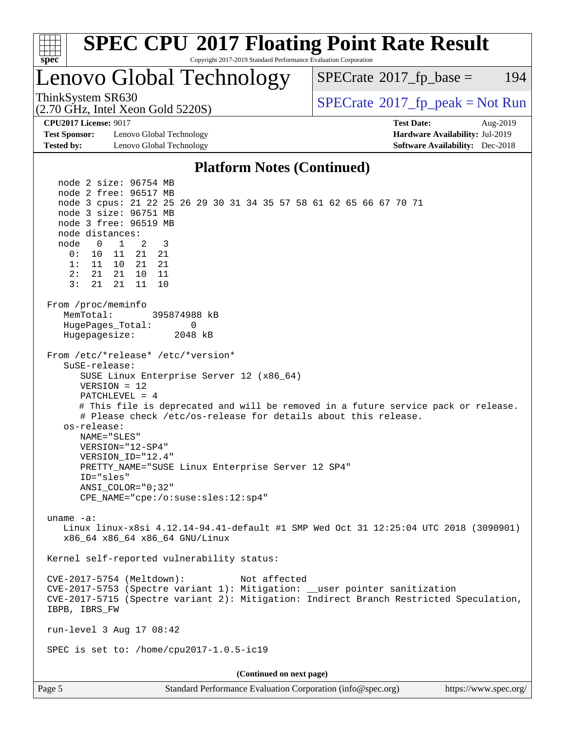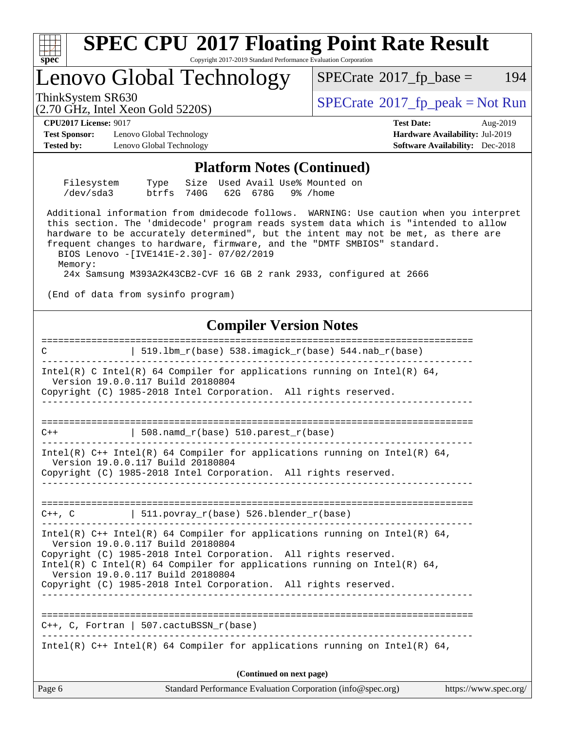

------------------------------------------------------------------------------

Intel(R)  $C++$  Intel(R) 64 Compiler for applications running on Intel(R) 64,

**(Continued on next page)**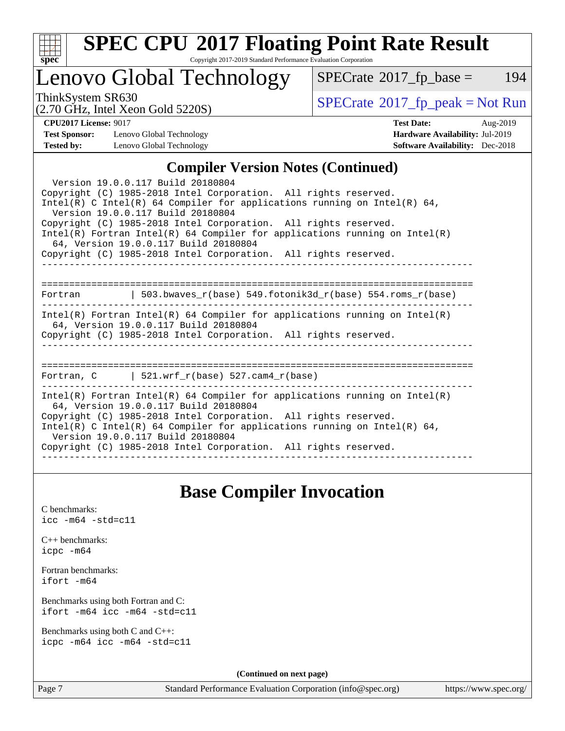

# **[SPEC CPU](http://www.spec.org/auto/cpu2017/Docs/result-fields.html#SPECCPU2017FloatingPointRateResult)[2017 Floating Point Rate Result](http://www.spec.org/auto/cpu2017/Docs/result-fields.html#SPECCPU2017FloatingPointRateResult)**

Copyright 2017-2019 Standard Performance Evaluation Corporation

### Lenovo Global Technology

 $SPECTate@2017_fp\_base = 194$ 

(2.70 GHz, Intel Xeon Gold 5220S)

ThinkSystem SR630<br>  $(2.70 \text{ GHz}_{\text{1.1}})$  [SPECrate](http://www.spec.org/auto/cpu2017/Docs/result-fields.html#SPECrate2017fppeak)®[2017\\_fp\\_peak = N](http://www.spec.org/auto/cpu2017/Docs/result-fields.html#SPECrate2017fppeak)ot Run

**[Test Sponsor:](http://www.spec.org/auto/cpu2017/Docs/result-fields.html#TestSponsor)** Lenovo Global Technology **[Hardware Availability:](http://www.spec.org/auto/cpu2017/Docs/result-fields.html#HardwareAvailability)** Jul-2019 **[Tested by:](http://www.spec.org/auto/cpu2017/Docs/result-fields.html#Testedby)** Lenovo Global Technology **[Software Availability:](http://www.spec.org/auto/cpu2017/Docs/result-fields.html#SoftwareAvailability)** Dec-2018

**[CPU2017 License:](http://www.spec.org/auto/cpu2017/Docs/result-fields.html#CPU2017License)** 9017 **[Test Date:](http://www.spec.org/auto/cpu2017/Docs/result-fields.html#TestDate)** Aug-2019

#### **[Compiler Version Notes \(Continued\)](http://www.spec.org/auto/cpu2017/Docs/result-fields.html#CompilerVersionNotes)**

| Version 19.0.0.117 Build 20180804<br>Copyright (C) 1985-2018 Intel Corporation. All rights reserved.<br>Intel(R) C Intel(R) 64 Compiler for applications running on Intel(R) 64,<br>Version 19.0.0.117 Build 20180804<br>Copyright (C) 1985-2018 Intel Corporation. All rights reserved.<br>Intel(R) Fortran Intel(R) 64 Compiler for applications running on Intel(R)<br>64, Version 19.0.0.117 Build 20180804<br>Copyright (C) 1985-2018 Intel Corporation. All rights reserved. |
|------------------------------------------------------------------------------------------------------------------------------------------------------------------------------------------------------------------------------------------------------------------------------------------------------------------------------------------------------------------------------------------------------------------------------------------------------------------------------------|
| Fortran 		   503.bwaves_r(base) 549.fotonik3d_r(base) 554.roms_r(base)                                                                                                                                                                                                                                                                                                                                                                                                             |
| Intel(R) Fortran Intel(R) 64 Compiler for applications running on Intel(R)<br>64, Version 19.0.0.117 Build 20180804<br>Copyright (C) 1985-2018 Intel Corporation. All rights reserved.                                                                                                                                                                                                                                                                                             |
| Fortran, C $\vert$ 521.wrf r(base) 527.cam4 r(base)                                                                                                                                                                                                                                                                                                                                                                                                                                |
| $Intel(R)$ Fortran Intel(R) 64 Compiler for applications running on Intel(R)<br>64, Version 19.0.0.117 Build 20180804<br>Copyright (C) 1985-2018 Intel Corporation. All rights reserved.<br>Intel(R) C Intel(R) 64 Compiler for applications running on Intel(R) 64,<br>Version 19.0.0.117 Build 20180804<br>Copyright (C) 1985-2018 Intel Corporation. All rights reserved.                                                                                                       |

### **[Base Compiler Invocation](http://www.spec.org/auto/cpu2017/Docs/result-fields.html#BaseCompilerInvocation)**

[C benchmarks](http://www.spec.org/auto/cpu2017/Docs/result-fields.html#Cbenchmarks): [icc -m64 -std=c11](http://www.spec.org/cpu2017/results/res2019q3/cpu2017-20190819-17056.flags.html#user_CCbase_intel_icc_64bit_c11_33ee0cdaae7deeeab2a9725423ba97205ce30f63b9926c2519791662299b76a0318f32ddfffdc46587804de3178b4f9328c46fa7c2b0cd779d7a61945c91cd35)

| $C_{++}$ benchmarks: |  |  |  |  |
|----------------------|--|--|--|--|
| icpc -m64            |  |  |  |  |

[Fortran benchmarks](http://www.spec.org/auto/cpu2017/Docs/result-fields.html#Fortranbenchmarks): [ifort -m64](http://www.spec.org/cpu2017/results/res2019q3/cpu2017-20190819-17056.flags.html#user_FCbase_intel_ifort_64bit_24f2bb282fbaeffd6157abe4f878425411749daecae9a33200eee2bee2fe76f3b89351d69a8130dd5949958ce389cf37ff59a95e7a40d588e8d3a57e0c3fd751)

[Benchmarks using both Fortran and C](http://www.spec.org/auto/cpu2017/Docs/result-fields.html#BenchmarksusingbothFortranandC): [ifort -m64](http://www.spec.org/cpu2017/results/res2019q3/cpu2017-20190819-17056.flags.html#user_CC_FCbase_intel_ifort_64bit_24f2bb282fbaeffd6157abe4f878425411749daecae9a33200eee2bee2fe76f3b89351d69a8130dd5949958ce389cf37ff59a95e7a40d588e8d3a57e0c3fd751) [icc -m64 -std=c11](http://www.spec.org/cpu2017/results/res2019q3/cpu2017-20190819-17056.flags.html#user_CC_FCbase_intel_icc_64bit_c11_33ee0cdaae7deeeab2a9725423ba97205ce30f63b9926c2519791662299b76a0318f32ddfffdc46587804de3178b4f9328c46fa7c2b0cd779d7a61945c91cd35)

[Benchmarks using both C and C++](http://www.spec.org/auto/cpu2017/Docs/result-fields.html#BenchmarksusingbothCandCXX): [icpc -m64](http://www.spec.org/cpu2017/results/res2019q3/cpu2017-20190819-17056.flags.html#user_CC_CXXbase_intel_icpc_64bit_4ecb2543ae3f1412ef961e0650ca070fec7b7afdcd6ed48761b84423119d1bf6bdf5cad15b44d48e7256388bc77273b966e5eb805aefd121eb22e9299b2ec9d9) [icc -m64 -std=c11](http://www.spec.org/cpu2017/results/res2019q3/cpu2017-20190819-17056.flags.html#user_CC_CXXbase_intel_icc_64bit_c11_33ee0cdaae7deeeab2a9725423ba97205ce30f63b9926c2519791662299b76a0318f32ddfffdc46587804de3178b4f9328c46fa7c2b0cd779d7a61945c91cd35)

**(Continued on next page)**

Page 7 Standard Performance Evaluation Corporation [\(info@spec.org\)](mailto:info@spec.org) <https://www.spec.org/>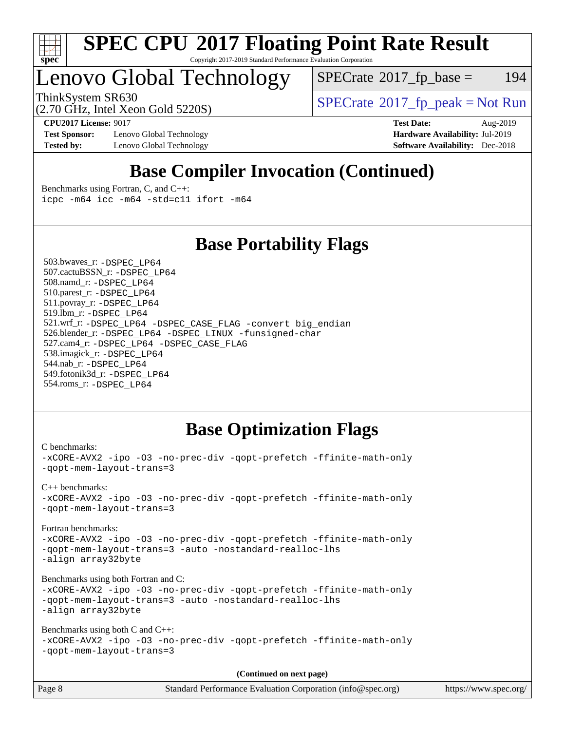

#### **[SPEC CPU](http://www.spec.org/auto/cpu2017/Docs/result-fields.html#SPECCPU2017FloatingPointRateResult)[2017 Floating Point Rate Result](http://www.spec.org/auto/cpu2017/Docs/result-fields.html#SPECCPU2017FloatingPointRateResult)** Copyright 2017-2019 Standard Performance Evaluation Corporation

# Lenovo Global Technology

 $SPECTate$ <sup>®</sup>[2017\\_fp\\_base =](http://www.spec.org/auto/cpu2017/Docs/result-fields.html#SPECrate2017fpbase) 194

(2.70 GHz, Intel Xeon Gold 5220S)

ThinkSystem SR630<br>  $SPECTI<sub>2</sub> Total Score  
SPECTI<sub>2</sub> Total Score$ 

**[Test Sponsor:](http://www.spec.org/auto/cpu2017/Docs/result-fields.html#TestSponsor)** Lenovo Global Technology **[Hardware Availability:](http://www.spec.org/auto/cpu2017/Docs/result-fields.html#HardwareAvailability)** Jul-2019 **[Tested by:](http://www.spec.org/auto/cpu2017/Docs/result-fields.html#Testedby)** Lenovo Global Technology **[Software Availability:](http://www.spec.org/auto/cpu2017/Docs/result-fields.html#SoftwareAvailability)** Dec-2018

**[CPU2017 License:](http://www.spec.org/auto/cpu2017/Docs/result-fields.html#CPU2017License)** 9017 **[Test Date:](http://www.spec.org/auto/cpu2017/Docs/result-fields.html#TestDate)** Aug-2019

### **[Base Compiler Invocation \(Continued\)](http://www.spec.org/auto/cpu2017/Docs/result-fields.html#BaseCompilerInvocation)**

[Benchmarks using Fortran, C, and C++:](http://www.spec.org/auto/cpu2017/Docs/result-fields.html#BenchmarksusingFortranCandCXX) [icpc -m64](http://www.spec.org/cpu2017/results/res2019q3/cpu2017-20190819-17056.flags.html#user_CC_CXX_FCbase_intel_icpc_64bit_4ecb2543ae3f1412ef961e0650ca070fec7b7afdcd6ed48761b84423119d1bf6bdf5cad15b44d48e7256388bc77273b966e5eb805aefd121eb22e9299b2ec9d9) [icc -m64 -std=c11](http://www.spec.org/cpu2017/results/res2019q3/cpu2017-20190819-17056.flags.html#user_CC_CXX_FCbase_intel_icc_64bit_c11_33ee0cdaae7deeeab2a9725423ba97205ce30f63b9926c2519791662299b76a0318f32ddfffdc46587804de3178b4f9328c46fa7c2b0cd779d7a61945c91cd35) [ifort -m64](http://www.spec.org/cpu2017/results/res2019q3/cpu2017-20190819-17056.flags.html#user_CC_CXX_FCbase_intel_ifort_64bit_24f2bb282fbaeffd6157abe4f878425411749daecae9a33200eee2bee2fe76f3b89351d69a8130dd5949958ce389cf37ff59a95e7a40d588e8d3a57e0c3fd751)

### **[Base Portability Flags](http://www.spec.org/auto/cpu2017/Docs/result-fields.html#BasePortabilityFlags)**

 503.bwaves\_r: [-DSPEC\\_LP64](http://www.spec.org/cpu2017/results/res2019q3/cpu2017-20190819-17056.flags.html#suite_basePORTABILITY503_bwaves_r_DSPEC_LP64) 507.cactuBSSN\_r: [-DSPEC\\_LP64](http://www.spec.org/cpu2017/results/res2019q3/cpu2017-20190819-17056.flags.html#suite_basePORTABILITY507_cactuBSSN_r_DSPEC_LP64) 508.namd\_r: [-DSPEC\\_LP64](http://www.spec.org/cpu2017/results/res2019q3/cpu2017-20190819-17056.flags.html#suite_basePORTABILITY508_namd_r_DSPEC_LP64) 510.parest\_r: [-DSPEC\\_LP64](http://www.spec.org/cpu2017/results/res2019q3/cpu2017-20190819-17056.flags.html#suite_basePORTABILITY510_parest_r_DSPEC_LP64) 511.povray\_r: [-DSPEC\\_LP64](http://www.spec.org/cpu2017/results/res2019q3/cpu2017-20190819-17056.flags.html#suite_basePORTABILITY511_povray_r_DSPEC_LP64) 519.lbm\_r: [-DSPEC\\_LP64](http://www.spec.org/cpu2017/results/res2019q3/cpu2017-20190819-17056.flags.html#suite_basePORTABILITY519_lbm_r_DSPEC_LP64) 521.wrf\_r: [-DSPEC\\_LP64](http://www.spec.org/cpu2017/results/res2019q3/cpu2017-20190819-17056.flags.html#suite_basePORTABILITY521_wrf_r_DSPEC_LP64) [-DSPEC\\_CASE\\_FLAG](http://www.spec.org/cpu2017/results/res2019q3/cpu2017-20190819-17056.flags.html#b521.wrf_r_baseCPORTABILITY_DSPEC_CASE_FLAG) [-convert big\\_endian](http://www.spec.org/cpu2017/results/res2019q3/cpu2017-20190819-17056.flags.html#user_baseFPORTABILITY521_wrf_r_convert_big_endian_c3194028bc08c63ac5d04de18c48ce6d347e4e562e8892b8bdbdc0214820426deb8554edfa529a3fb25a586e65a3d812c835984020483e7e73212c4d31a38223) 526.blender\_r: [-DSPEC\\_LP64](http://www.spec.org/cpu2017/results/res2019q3/cpu2017-20190819-17056.flags.html#suite_basePORTABILITY526_blender_r_DSPEC_LP64) [-DSPEC\\_LINUX](http://www.spec.org/cpu2017/results/res2019q3/cpu2017-20190819-17056.flags.html#b526.blender_r_baseCPORTABILITY_DSPEC_LINUX) [-funsigned-char](http://www.spec.org/cpu2017/results/res2019q3/cpu2017-20190819-17056.flags.html#user_baseCPORTABILITY526_blender_r_force_uchar_40c60f00ab013830e2dd6774aeded3ff59883ba5a1fc5fc14077f794d777847726e2a5858cbc7672e36e1b067e7e5c1d9a74f7176df07886a243d7cc18edfe67) 527.cam4\_r: [-DSPEC\\_LP64](http://www.spec.org/cpu2017/results/res2019q3/cpu2017-20190819-17056.flags.html#suite_basePORTABILITY527_cam4_r_DSPEC_LP64) [-DSPEC\\_CASE\\_FLAG](http://www.spec.org/cpu2017/results/res2019q3/cpu2017-20190819-17056.flags.html#b527.cam4_r_baseCPORTABILITY_DSPEC_CASE_FLAG) 538.imagick\_r: [-DSPEC\\_LP64](http://www.spec.org/cpu2017/results/res2019q3/cpu2017-20190819-17056.flags.html#suite_basePORTABILITY538_imagick_r_DSPEC_LP64) 544.nab\_r: [-DSPEC\\_LP64](http://www.spec.org/cpu2017/results/res2019q3/cpu2017-20190819-17056.flags.html#suite_basePORTABILITY544_nab_r_DSPEC_LP64) 549.fotonik3d\_r: [-DSPEC\\_LP64](http://www.spec.org/cpu2017/results/res2019q3/cpu2017-20190819-17056.flags.html#suite_basePORTABILITY549_fotonik3d_r_DSPEC_LP64) 554.roms\_r: [-DSPEC\\_LP64](http://www.spec.org/cpu2017/results/res2019q3/cpu2017-20190819-17056.flags.html#suite_basePORTABILITY554_roms_r_DSPEC_LP64)

### **[Base Optimization Flags](http://www.spec.org/auto/cpu2017/Docs/result-fields.html#BaseOptimizationFlags)**

```
C benchmarks: 
-xCORE-AVX2 -ipo -O3 -no-prec-div -qopt-prefetch -ffinite-math-only
-qopt-mem-layout-trans=3
C++ benchmarks: 
-xCORE-AVX2 -ipo -O3 -no-prec-div -qopt-prefetch -ffinite-math-only
-qopt-mem-layout-trans=3
Fortran benchmarks: 
-xCORE-AVX2 -ipo -O3 -no-prec-div -qopt-prefetch -ffinite-math-only
-qopt-mem-layout-trans=3 -auto -nostandard-realloc-lhs
-align array32byte
Benchmarks using both Fortran and C: 
-xCORE-AVX2 -ipo -O3 -no-prec-div -qopt-prefetch -ffinite-math-only
-qopt-mem-layout-trans=3 -auto -nostandard-realloc-lhs
-align array32byte
Benchmarks using both C and C++: 
-xCORE-AVX2 -ipo -O3 -no-prec-div -qopt-prefetch -ffinite-math-only
-qopt-mem-layout-trans=3
                                      (Continued on next page)
```